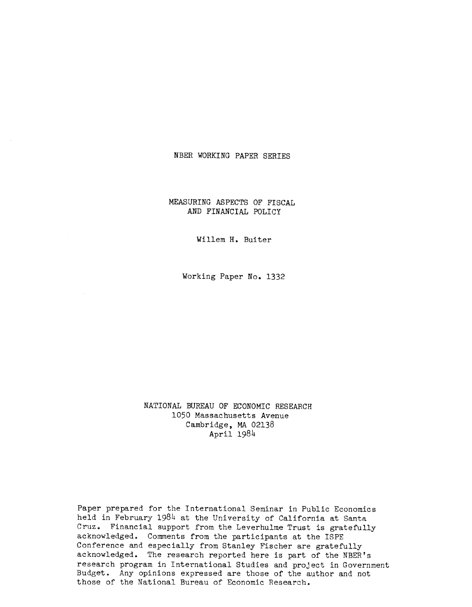## NBER WORKING PAPER SERIES

MEASURING ASPECTS OF FISCAL AND FINANCIAL POLICY

Willem H. Buiter

Working Paper No. 1332

NATIONAL BUREAU OF ECONOMIC RESEARCH 1050 Massachusetts Avenue Cambridge, MA 02138 April 19814

Paper prepared for the International Seminar in Public Economics held in February 1984 at the University of California at Santa Cruz. Financial support from the Leverhulme Trust is gratefully acknowledged. Comments from the participants at the ISPE Conference and especially from Stanley Fischer are gratefully acknowledged. The research reported here is part of the NBER's research program in International Studies and project in Government Budget. Any opinions expressed are those of the author and not those of the National Bureau of Economic Research.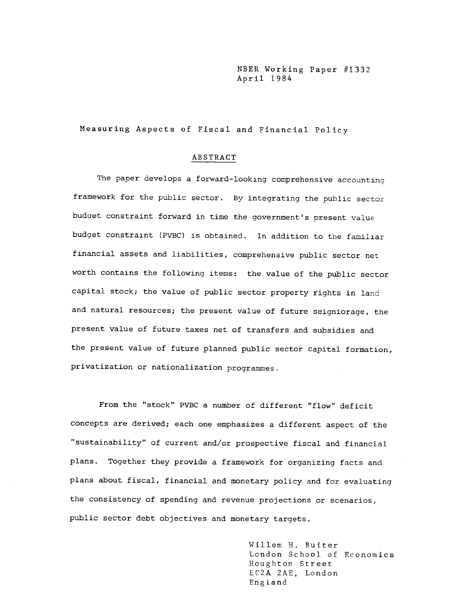NBER Working Paper #1332 April 1984

Measuring Aspects of Fiscal and Financial Policy

### ABSTRACT

The paper develops a forward—looking comprehensive accounting framework for the public sector. By integrating the public sector budget constraint forward in time the government's present value budget constraint (PVBC) is obtained. In addition to the familiar financial assets and liabilities, comprehensive public sector net worth contains the following items: the value of the public sector capital stock; the value of public sector property rights in land and natural resources; the present value of future seigniorage, the present value of future taxes net of transfers and subsidies and the present value of future planned public sector capital formation, privatization or nationalization programmes.

From the "stock" PVBC a number of different "flow" deficit concepts are derived; each one emphasizes a different aspect of the "sustainability" of current and/or prospective fiscal and financial plans. Together they provide a framework for organizing facts and plans about fiscal, financial and monetary policy and for evaluating the consistency of spending and revenue projections or scenarios, public sector debt objectives and monetary targets.

> Willem H, Buiter London School of Economics Houghton Street EC2A 2AE, London England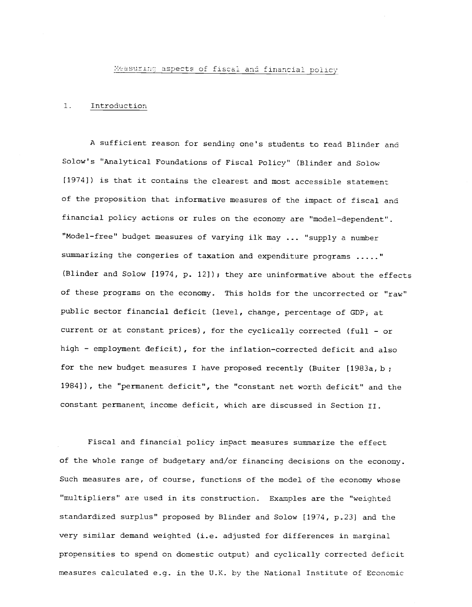Measuring aspects of fiscal and financial policy

## I. Introduction

A sufficient reason for sendina one's students to read Blinder and Solow's "Analytical Foundations of Fiscal Policy' (Blinder and Solow [1974]) is that it contains the clearest and most accessible statement of the proposition that informative measures of the impact of fiscal and financial policy actions or rules on the economy are "model—dependent'. "Model—free" budget measures of varying ilk may ... "supply a number summarizing the congeries of taxation and expenditure programs ....." (Blinder and Solow [1974, p. 12]); they are uninformative about the effects of these programs on the economy. This holds for the uncorrected or "raw" public sector financial deficit (level, change, percentage of GDP, at current or at constant prices), for the cyclically corrected (full — or high — employment deficit), for the inflation—corrected deficit and also for the new budget measures I have proposed recently (Buiter [1983a, b 1984]), the "permanent deficit", the "constant net worth deficit" and the constant permanent income deficit, which are discussed in Section II.

Fiscal and financial policy impact measures summarize the effect of the whole range of budgetary and/or financing decisions on the economy. Such measures are, of course, functions of the model of the economy whose "multipliers" are used in its construction. Examples are the "weighted standardized surplus" proposed by Blinder and Solow [1974, p.23] and the very similar demand weighted (i.e. adjusted for differences in marginal propensities to spend on domestic output) and cyclically corrected deficit measures calculated e.g. in the U.K. by the National Institute of Economic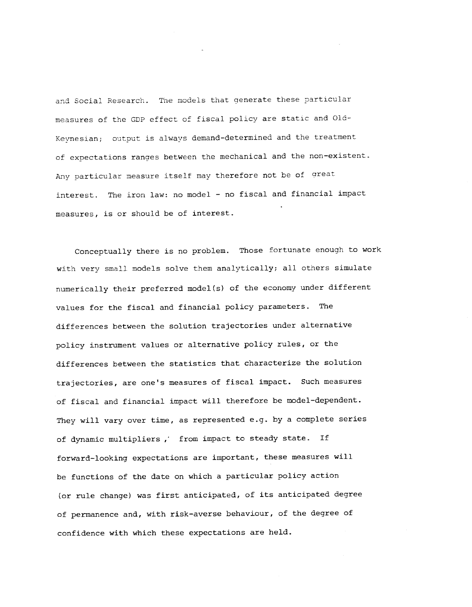and Social Research. The models that generate these particular measures of the GDP effect of fiscal policy are static and Old-Keynesian; output is always demand—determined and the treatment of expectations ranges between the mechanical and the non-existent. Any particular measure itself may therefore not be of great interest. The iron law: no model — no fiscal and financial impact measures, is or should be of interest.

Conceptually there is no problem. Those fortunate enough to work with very small models solve them analytically; all others simulate numerically their preferred model(s) of the economy under different values for the fiscal and financial policy parameters. The differences between the solution trajectories under alternative policy instrument values or alternative policy rules, or the differences between the statistics that characterize the solution trajectories, are one's measures of fiscal impact. Such measures of fiscal and financial impact will therefore be model-dependent. They will vary over time, as represented e.g. by a complete series of dynamic multipliers, from impact to steady state. If forward—looking expectations are important, these measures will be functions of the date on which a particular policy action (or rule change) was first anticipated, of its anticipated degree of permanence and, with risk—averse behaviour, of the degree of confidence with which these expectations are held.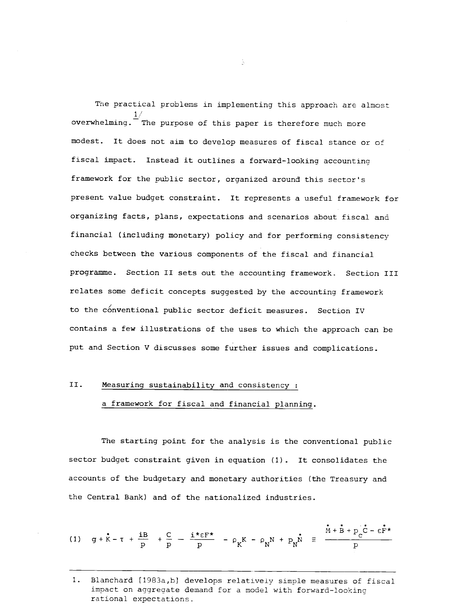The practical problems in implementing this approach are almost  $1/$  and  $1/$ overwhelming. The purpose of this paper is therefore much more modest. It does not aim to develop measures of fiscal stance or of fiscal impact. Instead it outlines a forward-looking accountina framework for the public sector, organized around this sector's present value budget constraint. It represents a useful framework for organizing facts, plans, expectations and scenarios about fiscal and financial (including monetary) policy and for performing consistency checks between the various components of the fiscal and financial programme. Section II sets out the accounting framework. Section III relates some deficit concepts suggested by the accounting framework to the conventional public sector deficit measures. Section IV contains a few illustrations of the uses to which the approach can be put and Section V discusses some further issues and complications.

# II. Measuring sustainability and consistency:

# a framework for fiscal and financial planning.

The starting point for the analysis is the conventional public sector budget constraint given in equation (1). It consolidates the accounts of the budgetary and monetary authorities (the Treasury and the Central Bank) and of the nationalized industries.

(1) 
$$
g + \vec{k} - \tau + \frac{iB}{p} + \frac{C}{p} - \frac{i \cdot \epsilon F^{\star}}{p} - \rho_K K - \rho_N N + p_N \vec{N} = \frac{\vec{M} + \vec{B} + p_C \vec{C} - \epsilon \vec{F}^{\star}}{p}
$$

ă.

<sup>1.</sup> Blanchard [1983a,b} develops relatively simple measures of fiscal impact on aggregate demand for a model with forward—looking rational expectations.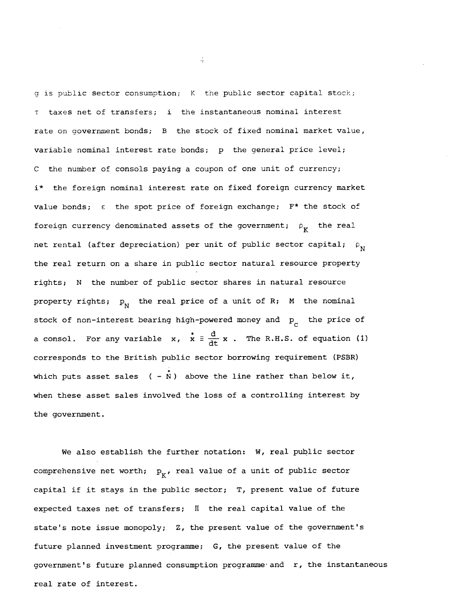g is public sector consumption; K the public sector capital stock; taxes net of transfers; i the instantaneous nominal interest rate on government bonds; B the stock of fixed nominal market value, variable nominal interest rate bonds; p the general price level; C the number of consols paying a coupon of one unit of currency; i\* the foreign nominal interest rate on fixed foreign currency market value bonds;  $\varepsilon$  the spot price of foreign exchange;  $F^*$  the stock of foreign currency denominated assets of the government;  $\rho_{\mathbf{K}}$  the real net rental (after depreciation) per unit of public sector capital;  $\rho$ <sub>N</sub> the real return on a share in public sector natural resource property rights; N the number of public sector shares in natural resource property rights;  $p_{N}$  the real price of a unit of R; M the nominal stock of non-interest bearing high-powered money and  $p_c$  the price of a consol. For any variable x,  $\dot{x} = \frac{d}{dt} x$ . The R.H.S. of equation (1) corresponds to the British public sector borrowing requirement (PSBR) which puts asset sales  $(-\overset{\bullet}{N})$  above the line rather than below it, when these asset sales involved the loss of a controlling interest by the government.

We also establish the further notation: W, real public sector comprehensive net worth;  $p_{K'}$ , real value of a unit of public sector capital if it stays in the public sector; T, present value of future expected taxes net of transfers;  $\Box$  the real capital value of the state's note issue monopoly; Z, the present value of the government's future planned investment programme; G, the present value of the government's future planned consumption programme and  $r$ , the instantaneous real rate of interest.

 $\mathcal{L}_2$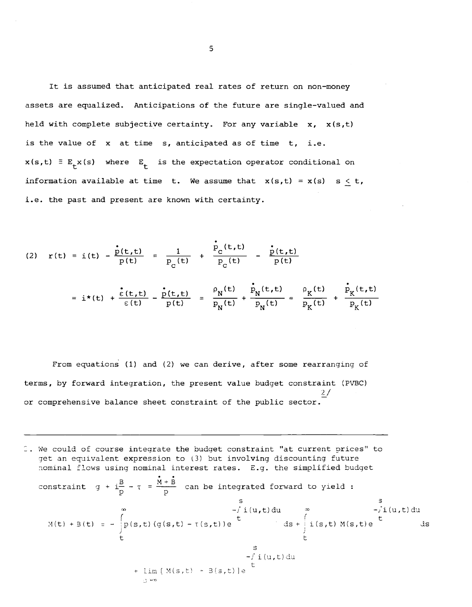It is assumed that anticipated real rates of return on non—money assets are equalized. Anticipations of the future are single—valued and held with complete subjective certainty. For any variable  $x, x(s,t)$ is the value of x at time s, anticipated as of time t, i.e.  $x(s,t) \equiv E_{+}x(s)$  where  $E_{+}$  is the expectation operator conditional on information available at time t. We assume that  $x(s,t) = x(s)$  s < t, i.e. the past and present are known with certainty.

(2) 
$$
r(t) = i(t) - \frac{i(t, t)}{p(t)} = \frac{1}{p_c(t)} + \frac{i(t, t)}{p_c(t)} - \frac{i(t, t)}{p(t)}
$$
  

$$
= i*(t) + \frac{i(t, t)}{\epsilon(t)} - \frac{i(t, t)}{p(t)} - \frac{i(t, t)}{p_c(t)} = \frac{p_N(t)}{p_N(t)} + \frac{i(t, t)}{p_N(t)} - \frac{i(t, t)}{p_K(t)} + \frac{i(t, t)}{p_K(t)}
$$

From equations (1) and (2) we can derive, after some rearranging of terms, by forward integration, the present value budget constraint (PVBC)  $\frac{2}{\pi}$ / or comprehensive balance sheet constraint of the public sector.

1. We could of course integrate the budget constraint "at current prices" to get an equivalent expression to (3) but involving discounting future iominal flows using nominal interest rates. E.g. the simplified budget constraint  $g + i\frac{B}{p} - \tau = \frac{\dot{M} + \dot{B}}{p}$  can be integrated forward to yield :  $M(t) + B(t) = -\int_{0}^{\infty} p(s,t) (g(s,t) - \tau(s,t))e^{\int_{0}^{t} ds + \int_{0}^{t} i(s,t) M(s,t)e^{\int_{0}^{t} ds}}$  $\begin{pmatrix} 1 & 1 \\ 1 & 1 \end{pmatrix}$ S<sub>st</sub>  $-f$  i(u,t)du +  $\lim [M(s,t) + B(s,t)]e$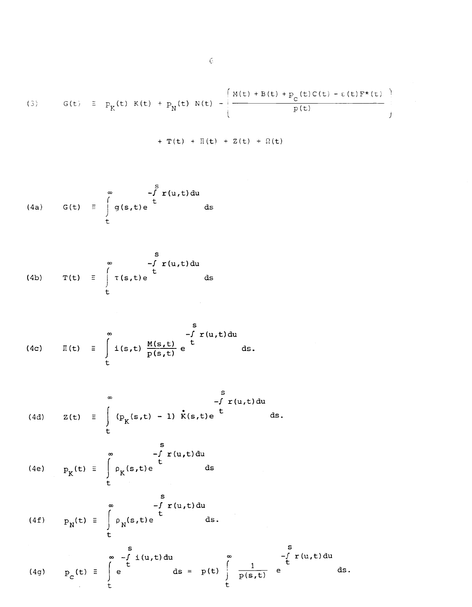(3) 
$$
G(t) = p_K(t) K(t) + p_N(t) N(t) - \left(\frac{M(t) + B(t) + p_c(t)C(t) - \epsilon(t)F^*(t)}{p(t)}\right)
$$

$$
+ T(t) + \Pi(t) + Z(t) + \Omega(t)
$$

(4a) 
$$
G(t) = \int_{t}^{\infty} g(s,t)e^{st} dt
$$
 ds

(4b) 
$$
T(t) = \int_{t}^{\infty} \tau(s,t)e^{st} ds
$$

(4c) 
$$
\Pi(t) = \int_{t}^{\infty} i(s,t) \frac{M(s,t)}{p(s,t)} e^{\int_{t}^{s} t} ds.
$$

(4d) 
$$
Z(t) = \int_{0}^{\infty} (p_{K}(s,t) - 1) \dot{K}(s,t) e^{t} ds.
$$

(4e) 
$$
p_K(t) = \int_{t}^{\infty} \rho_K(s,t) e^{\int_{t}^{s} r(u,t) du} ds
$$

(4f) 
$$
P_N(t) = \int_{t}^{\infty} \rho_N(s,t) e^{\int_{t}^{s} t(u,t) du} ds.
$$

(4g) 
$$
p_{C}(t) \equiv \int_{t}^{s} e^{t} dt = p(t) \int_{t}^{\infty} \frac{1}{p(s,t)} e^{t} ds.
$$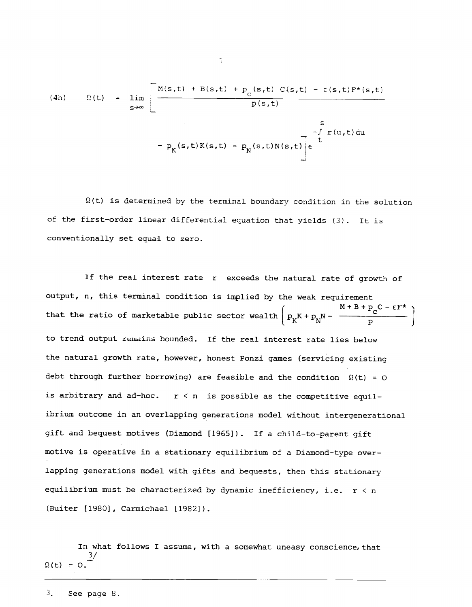(4h) 
$$
\Omega(t) = \lim_{s \to \infty} \left[ \frac{M(s,t) + B(s,t) + p_c(s,t) C(s,t) - \epsilon(s,t)F^*(s,t)}{p(s,t)} - p_K(s,t)K(s,t) - p_N(s,t)N(s,t) \right] e^{-\int_{t}^{s} r(u,t) du}
$$

 $\Omega(t)$  is determined by the terminal boundary condition in the solution of the first—order linear differential equation that yields (3). It is conventionally set equal to zero.

If the real interest rate r exceeds the natural rate of growth of output, n, this terminal condition is implied by the weak requirement that the ratio of marketable public sector wealth  $\begin{pmatrix} M+B+p_C - \varepsilon F^* \\ p_K+p_N & - \end{pmatrix}$ J to trend output remains bounded. If the real interest rate lies below the natural growth rate, however, honest Ponzi games (servicing existing debt through further borrowing) are feasible and the condition  $\Omega(t) = 0$ is arbitrary and ad-hoc.  $r < n$  is possible as the competitive equilibrium outcome in an overlapping generations model without intergenerational gift and bequest motives (Diamond [19651). If a child-to-parent gift motive is operative in a stationary equilibrium of a Diamond—type overlapping generations model with gifts and bequests, then this stationary equilibrium must be characterized by dynamic inefficiency, i.e.  $r < n$ (Buiter [1980], Carmichael [1982]).

In what follows I assume, with a somewhat uneasy conscience, that  $\Omega(t) = 0.$ <sup>3/</sup>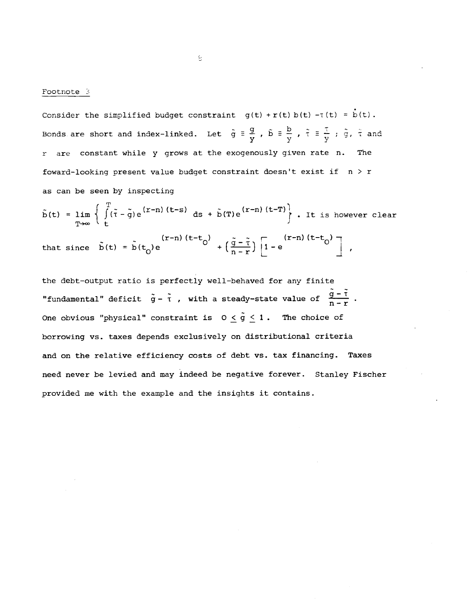### Footnote 3

Consider the simplified budget constraint  $g(t) + r(t) b(t) - T(t) = b(t)$ . Bonds are short and index-linked. Let  $\tilde{g} = \frac{g}{y}$ ,  $\tilde{b} = \frac{b}{y}$ ,  $\tilde{\tau} = \frac{\tau}{y}$ ;  $\tilde{g}$ ,  $\tilde{\tau}$  and r are constant while y grows at the exogenously given rate n. The foward-looking present value budget constraint doesn't exist if  $n > r$ as can be seen by inspecting

$$
\tilde{b}(t) = \lim_{T \to \infty} \left\{ \int_{t}^{T} (\tilde{\tau} - \tilde{g}) e^{(r-n)(t-s)} ds + \tilde{b}(T) e^{(r-n)(t-T)} \right\}. \text{ It is however clear}
$$
\n
$$
\text{that since } \tilde{b}(t) = \tilde{b}(t_0) e^{(r-n)(t-t_0)} + \left( \frac{\tilde{g} - \tilde{\tau}}{n-r} \right) \left[ 1 - e^{(r-n)(t-t_0)} \right],
$$

the debt-output ratio is perfectly well-behaved for any finite "fundamental" deficit  $\tilde{g} - \tilde{t}$ , with a steady-state value of  $\frac{\tilde{g} - \tilde{t}}{n - r}$ . One obvious "physical" constraint is  $0 \leq \tilde{g} \leq 1$ . The choice of borrowing vs. taxes depends exclusively on distributional criteria and on the relative efficiency costs of debt vs. tax financing. Taxes need never be levied and may indeed be negative forever. Stanley Fischer provided me with the example and the insights it contains.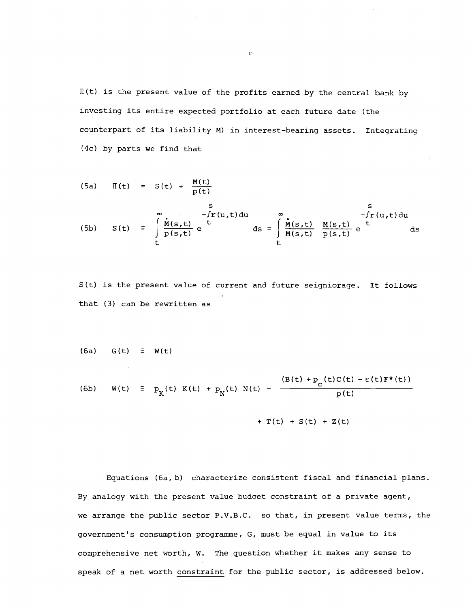$\Pi(t)$  is the present value of the profits earned by the central bank by investing its entire expected portfolio at each future date (the counterpart of its liability M) in interest-bearing assets. Integrating (4c) by parts we find that

(5a) 
$$
\Pi(t) = S(t) + \frac{M(t)}{p(t)}
$$
  
\n(5b)  $S(t) = \int_{t}^{\infty} \frac{\dot{n}(s,t)}{p(s,t)} e^{t} ds = \int_{t}^{\infty} \frac{\dot{n}(s,t)}{M(s,t)} \frac{M(s,t)}{p(s,t)} e^{t} ds$ 

S(t) is the present value of current and future seigniorage. It follows that (3) can be rewritten as

 $(6a)$  G(t)  $\equiv$  W(t)

(6b) 
$$
W(t) = p_K(t) K(t) + p_N(t) N(t) - \frac{(B(t) + p_c(t)C(t) - \varepsilon(t)F^*(t))}{p(t)}
$$

+  $T(t)$  +  $S(t)$  +  $Z(t)$ 

Equations (6a, b) characterize consistent fiscal and financial plans. By analogy with the present value budget constraint of a private agent, we arrange the public sector P.V.B.C. so that, in present value terms, the government's consumption programme, G, must be equal in value to its comprehensive net worth, W. The question whether it makes any sense to speak of a net worth constraint for the public sector, is addressed below.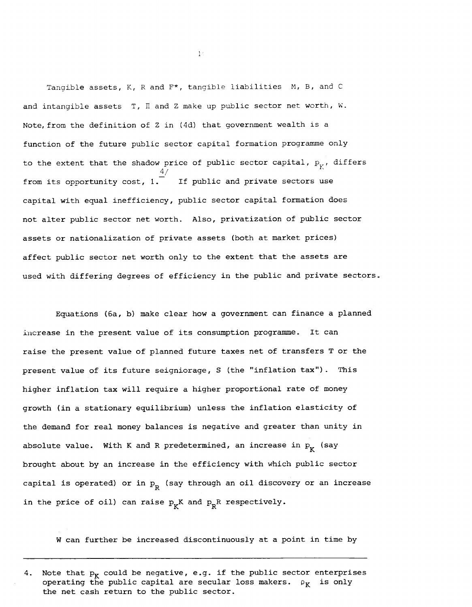Tangible assets,  $K$ ,  $R$  and  $F^*$ , tangible liabilities  $M$ ,  $B$ , and  $C$ and intangible assets  $T$ ,  $\Pi$  and  $Z$  make up public sector net worth,  $W$ . Note, from the definition of Z in (4d) that government wealth is a function of the future public sector capital formation programme only to the extent that the shadow price of public sector capital,  $p_y$ , differs 4/ from its opportunity cost, 1. If public and private sectors use capital with equal inefficiency, public sector capital formation does not alter public sector net worth. Also, privatization of public sector assets or nationalization of private assets (both at market prices) affect public sector net worth only to the extent that the assets are used with differing degrees of efficiency in the public and private sectors..

Equations (6a, b) make clear how a government can finance a planned increase in the present value of its consumption programme.. It can raise the present value of planned future taxes net of transfers T or the present value of its future seigniorage, S (the "inflation tax"). This higher inflation tax will require a higher proportional rate of money growth (in a stationary equilibrium) unless the inflation elasticity of the demand for real money balances is negative and greater than unity in absolute value. With K and R predetermined, an increase in  $p_K$  (say brought about by an increase in the efficiency with which public sector capital is operated) or in  $p_R^{\prime}$  (say through an oil discovery or an increase in the price of oil) can raise  $p_{\mathbf{r}}$ K and  $p_{\mathbf{p}}$ R respectively.

W can further be increased discontinuously at a point in time by

 $1:$ 

Note that  $p_K$  could be negative, e.g. if the public sector enterprises operating the public capital are secular loss makers.  $\rho_K$  is only the net cash return to the public sector.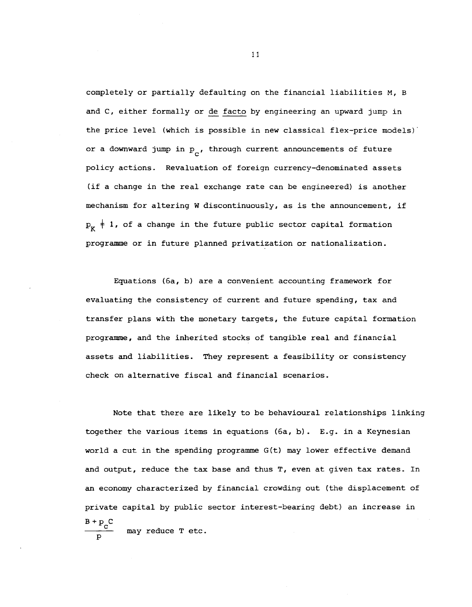completely or partially defaulting on the financial liabilities M, B and C, either formally or de facto by engineering an upward jump in the price level (which is possible in new classical flex—price models) or a downward jump in  $p_{\alpha}$ , through current announcements of future policy actions. Revaluation of foreign currency—denominated assets (if a change in the real exchange rate can be engineered) is another mechanism for altering W discontinuously, as is the announcement, if  $P_K$   $\neq$  1, of a change in the future public sector capital formation programme or in future planned privatization or nationalization.

Equations (6a, b) are a convenient accounting framework for evaluating the consistency of current and future spending, tax and transfer plans with the monetary targets, the future capital formation programme, and the inherited stocks of tangible real and financial assets and liabilities. They represent a feasthility or consistency check on alternative fiscal and financial scenarios.

Note that there are likely to be behavioural relationships linking together the various items in equations (6a, b). E.g. in a Keynesian world a cut in the spending programme G(t) may lower effective demand and output, reduce the tax base and thus T, even at given tax rates. In an economy characterized by financial crowding out (the displacement of private capital by public sector interest-bearing debt) an increase in  $\frac{B + p_{\rm c}}{2}$  may reduce T etc. p

ii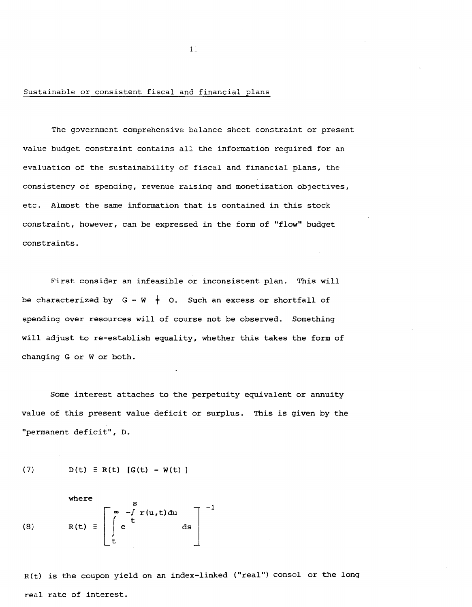## Sustainable or consistent fiscal and financial plans

The government comprehensive balance sheet constraint or present value budget constraint contains all the information required for an evaluation of the sustainability of fiscal and financial plans, the consistency of spending, revenue raising and monetization objectives, etc. Almost the same information that is contained in this stock constraint, however, can be expressed in the form of "flow" budget constraints.

 $1<sup>2</sup>$ 

First consider an infeasible or inconsistent plan. This will be characterized by  $G - W \neq 0$ . Such an excess or shortfall of spending over resources will of course not be observed. Something will adjust to re-establish equality, whether this takes the form of changing G or W or both.

Some interest attaches to the perpetuity equivalent or annuity value of this present value deficit or surplus. This is given by the "permanent deficit", D.

(7) 
$$
D(t) \equiv R(t) [G(t) - W(t)]
$$

(8)

\n
$$
R(t) \equiv \left[ \int_{t}^{\infty} e^{-(\int_{t}^{t} r(u, t) du} ds \right]^{-1}
$$

R(t) is the coupon yield on an index-linked ("real") consol or the long real rate of interest.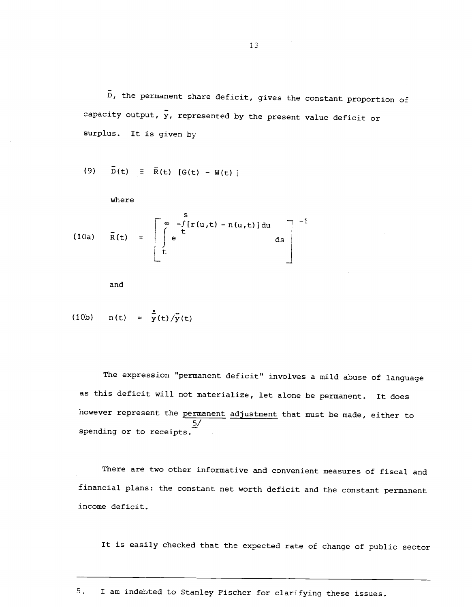D, the permanent share deficit, gives the constant proportion of capacity output,  $\bar{y}$ , represented by the present value deficit or surplus. It is given by

(9) 
$$
D(t) = R(t) [G(t) - W(t)]
$$

where

(10a) 
$$
\overline{R}(t) = \begin{bmatrix} \infty & -\int [r(u,t) - n(u,t)] du \\ \int e^{t} & ds \end{bmatrix}^{-1}
$$

and

(10b) 
$$
n(t) = \frac{1}{y}(t) / \frac{1}{y}(t)
$$

The expression "permanent deficit" involves a mild abuse of language as this deficit will not materialize, let alone be permanent. It does however represent the permanent adjustment that must be made, either to  $\frac{5}{ }$ spending or to receipts.

There are two other informative and convenient measures of fiscal and financial plans: the constant net worth deficit and the constant permanent income deficit.

It is easily checked that the expected rate of change of public sector

5. I am indebted to Stanley Fischer for clarifying these issues.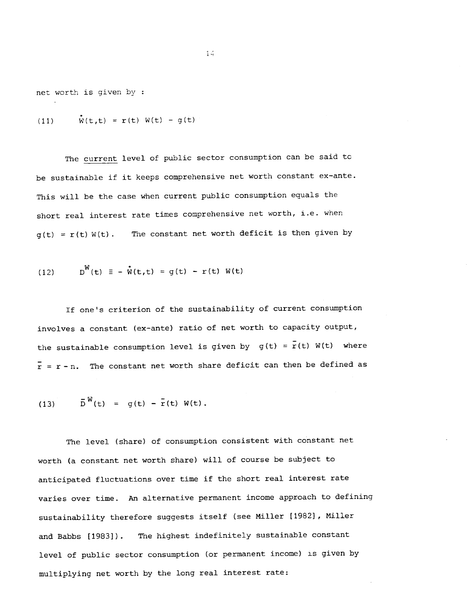net worth is given by

(11) 
$$
\mathbf{\dot{w}}(t,t) = \mathbf{r}(t) \mathbf{W}(t) - g(t)
$$

The current level of public sector consumption can be said tc be sustainable if it keeps comprehensive net worth constant ex—ante. This will be the case when current public consumption equals the short real interest rate times comprehensive net worth, i.e. when  $g(t) = r(t) W(t)$ . The constant net worth deficit is then given by

(12) 
$$
D^{W}(t) \equiv -\dot{W}(t,t) = g(t) - r(t) W(t)
$$

If one's criterion of the sustainability of current consumption involves a constant (ex-ante) ratio of net worth to capacity output, the sustainable consumption level is given by  $g(t) = \overline{r}(t)$  W(t) where  $\bar{r}$  = r-n. The constant net worth share deficit can then be defined as

(13) 
$$
\bar{D}^{W}(t) = g(t) - \bar{r}(t) W(t)
$$
.

The level (share) of consumption consistent with constant net worth (a constant net worth share) will of course be subject to anticipated fluctuations over time if the short real interest rate varies over time. An alternative permanent income approach to defining sustainability therefore suggests itself (see Miller [19821, Miller and Babbs [1983]). The highest indefinitely sustainable constant level of public sector consumption (or permanent income) is given by multiplying net worth by the long real interest rate: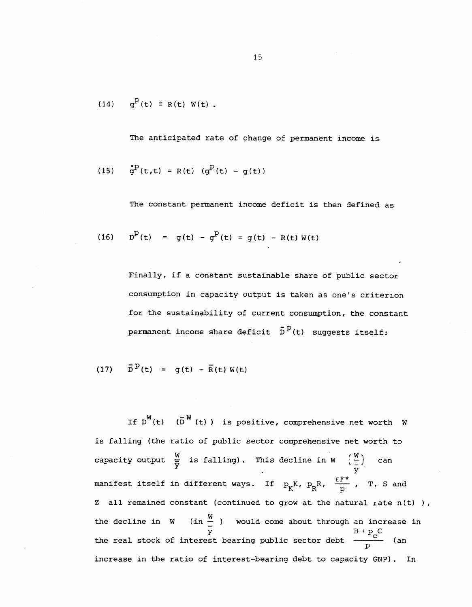(14) 
$$
g^P(t) \equiv R(t) W(t)
$$
.

The anticipated rate of change of permanent income is

(15) 
$$
\dot{g}^P(t,t) = R(t) (g^P(t) - g(t))
$$

The constant permanent income deficit is then defined as

(16) 
$$
D^{P}(t) = g(t) - g^{P}(t) = g(t) - R(t)W(t)
$$

Finally, if a constant sustainable share of public sector consumption in capacity output is taken as one's criterion for the sustainability of current consumption, the constant permanent income share deficit  $\bar{D}^p(t)$  suggests itself:

(17) 
$$
\bar{D}^{P}(t) = g(t) - \bar{R}(t) W(t)
$$

If  $D^{W}(t)$  ( $\overline{D}^{W}(t)$ ) is positive, comprehensive net worth W is falling (the ratio of public sector comprehensive net worth to capacity output  $\frac{w}{y}$  is falling). This decline in W  $\left(\frac{w}{y}\right)$  can manifest itself in different ways. If  $p_K K$ ,  $p_R R$ ,  $\frac{\varepsilon F^*}{D}$ , T, S and Z all remained constant (continued to grow at the natural rate  $n(t)$ ), the decline in W (in  $\frac{w}{2}$  ) would come about through an increase in  $\overline{B}$  B +  $\overline{p}_C$ the real stock of interest bearing public sector debt  $\frac{1}{\sqrt{2}}$  (an increase in the ratio of interest-bearing debt to capacity GNP). In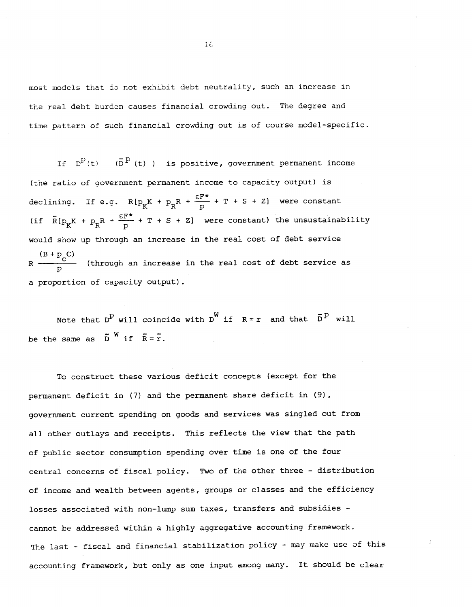most models that do not exhibit debt neutrality, such an increase in the real debt burden causes financial crowding out. The degree and time pattern of such financial crowding out is of course model-specific.

If  $D^P(t)$  ( $\bar{D}^P(t)$ ) is positive, government permanent income (the ratio of government permanent income to capacity output) is declining. If e.g.  $R[p_K^K + p_R^R + \frac{\epsilon F^{\star}}{p} + T + S + Z]$  were constant (if  $\bar{R}[p_K K + p_R R + \frac{\epsilon F^{\star}}{p} + T + S + Z]$  were constant) the unsustainability would show up through an increase in the real cost of debt service  $(B + p<sub>n</sub>C)$  $R \rightarrow \gamma$  (through an increase in the real cost of debt service as p a proportion of capacity output).

Note that  $D^P$  will coincide with  $D^W$  if  $R=r$  and that  $\bar{D}^P$  will be the same as  $\bar{D}^W$  if  $\bar{R} = \bar{r}$ .

To construct these various deficit concepts (except for the permanent deficit in (7) and the permanent share deficit in (9), government current spending on goods and services was singled out from all other outlays and receipts. This reflects the view that the path of public sector consumption spending over time is one of the four central concerns of fiscal policy. Two of the other three — distribution of income and wealth between agents, groups or classes and the efficiency losses associated with non—lump sum taxes, transfers and subsidies cannot be addressed within a highly aggregative accounting framework. The last - fiscal and financial stabilization policy - may make use of this accounting framework, but only as one input among many. It should be clear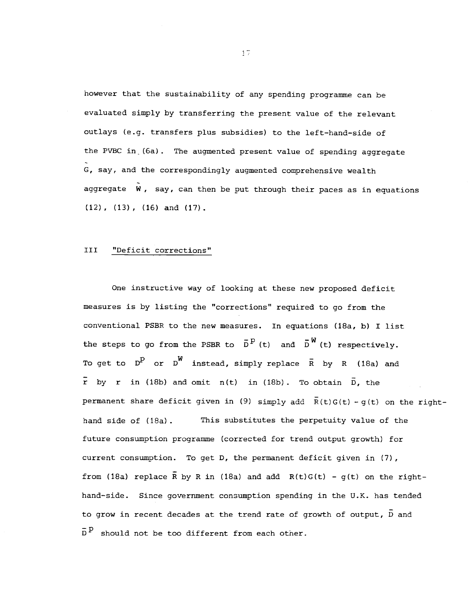however that the sustainability of any spending programme can be evaluated simply by transferring the present value of the relevant outlays (e.g. transfers plus subsidies) to the left—hand—side of the PVBC in (6a). The augmented present value of spending aggregate G, say, and the correspondingly augmented comprehensive wealth aggregate  $W$ , say, can then be put through their paces as in equations  $(12)$ ,  $(13)$ ,  $(16)$  and  $(17)$ .

### III "Deficit corrections"

One instructive way of looking at these new proposed deficit measures is by listing the "corrections" required to go from the conventional PSBR to the new measures. In equations (18a, b) I list the steps to go from the PSBR to  $\bar{D}^{\bar{P}}(t)$  and  $\bar{D}^{\bar{W}}(t)$  respectively. To get to  $D^D$  or  $D^W$  instead, simply replace  $\bar{R}$  by R (18a) and  $\bar{r}$  by r in (18b) and omit n(t) in (18b). To obtain  $\bar{D}$ , the permanent share deficit given in (9) simply add  $\bar{R}(t)G(t) - g(t)$  on the righthand side of  $(18a)$ . This substitutes the perpetuity value of the future consumption programme (corrected for trend output growth) for current consumption. To get D, the permanent deficit given in (7), from (18a) replace  $\overline{R}$  by R in (18a) and add  $R(t)G(t) - g(t)$  on the righthand—side. Since government consumption spending in the U.K. has tended to grow in recent decades at the trend rate of growth of output,  $\bar{D}$  and  $\bar{D}^{\bar{P}}$  should not be too different from each other.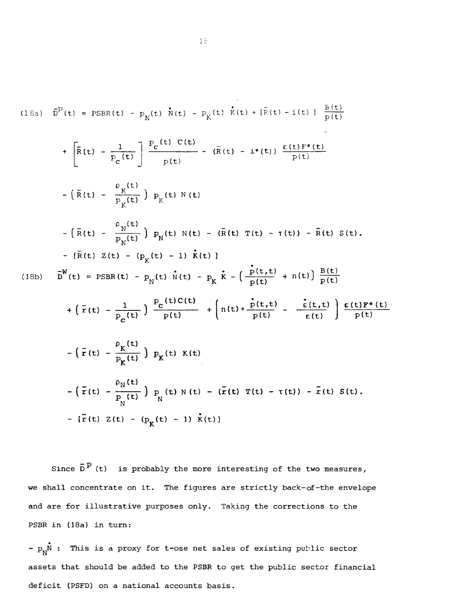(18a) 
$$
\vec{D}^{\text{P}}(t) = \text{PSBR}(t) - p_{\text{N}}(t) \vec{N}(t) - p_{\text{K}}(t) \vec{K}(t) + [\vec{R}(t) - i(t)] \frac{\vec{B}(t)}{p(t)}
$$
  
+  $\left[\vec{R}(t) - \frac{1}{p_{\text{C}}(t)}\right] \frac{p_{\text{C}}(t) C(t)}{p(t)} - (\vec{R}(t) - i*(t)) \frac{c(t)F^{*}(t)}{p(t)}$   
-  $(\vec{R}(t) - \frac{\rho_{\text{N}}(t)}{p_{\text{K}}(t)}) p_{\text{K}}(t) N(t)$   
-  $(\vec{R}(t) - \frac{\rho_{\text{N}}(t)}{p_{\text{N}}(t)}) p_{\text{N}}(t) N(t) - (\vec{R}(t) T(t) - \tau(t)) - \vec{R}(t) S(t)$ .  
-  $[\vec{R}(t) Z(t) - (p_{\text{K}}(t) - 1) \vec{k}(t)]$   
(18b)  $\vec{D}^{W}(t) = \text{PSBR}(t) - p_{\text{N}}(t) \vec{N}(t) - p_{\text{K}} \vec{k} - (\frac{\vec{P}(t,t)}{p(t)} + n(t)) \frac{\vec{B}(t)}{p(t)}$   
+  $(\vec{r}(t) - \frac{1}{P_{\text{C}}(t)}) \frac{P_{\text{C}}(t)C(t)}{p(t)} + (n(t) + \frac{\vec{P}(t,t)}{p(t)} - \frac{\vec{E}(t,t)}{\vec{E}(t)}) \frac{\vec{E}(t)F^{*}(t)}{p(t)}$   
-  $(\vec{r}(t) - \frac{\rho_{\text{N}}(t)}{P_{\text{K}}(t)}) p_{\text{K}}(t) K(t)$   
-  $(\vec{r}(t) - \frac{\rho_{\text{N}}(t)}{P_{\text{N}}(t)}) p_{\text{N}}(t) N(t) - (\vec{r}(t) T(t) - \tau(t)) - \vec{r}(t) S(t)$ .  
-  $[\vec{r}(t) Z(t) - (p_{\text{K}}(t) - 1) \vec{k}(t)]$ 

Since  $\bar{D}^P$  (t) is probably the more interesting of the two measures, we shall concentrate on it. The figures are strictly back-of-the envelope and are for illustrative purposes only. Taking the corrections to the PSBR in (18a) in turn:

-  $p_N^N$  : This is a proxy for t-ose net sales of existing public sector assets that should be added to the PSBR to get the public sector financial deficit (PSFD) on a national accounts basis.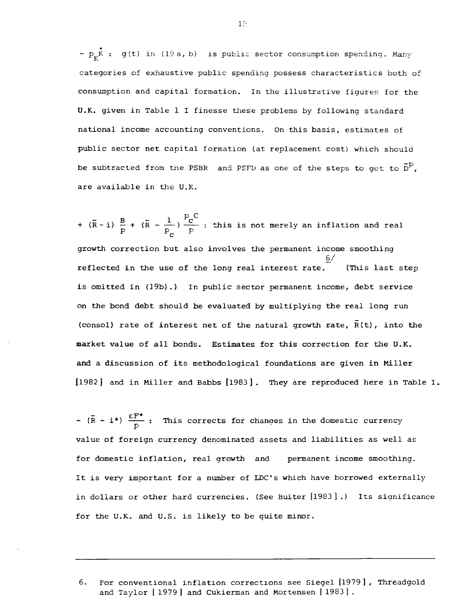-  $p_k \stackrel{\bullet}{\mathbf{r}}$  ; g(t) in (19 a, b) is public sector consumption spending. Many categories of exhaustive public spending possess characteristics both of consumption and capital formation. In the illustrative figures for the U.K. given in Table 1 I finesse these problems by following standard national income accounting conventions. On this basis, estimates of public sector net capital formation (at replacement cost) which should be subtracted from the PSBR and PSFD as one of the steps to get to  $\bar{D}^D$ , are available in the U.K.

 $B_{10.65}$   $\frac{1}{10}$   $\frac{P_C^C}{C}$  this is not +  $(\bar{R} - i)$   $\frac{B}{p}$  +  $(\bar{R} - \frac{1}{p_c})$   $\frac{P_C}{p}$  : this is not merely an inflation and real growth correction but also involves the permanent income smoothing 6/ reflected in the use of the long real interest rate. (This last step is omitted in (19b).) In public sector permanent income, debt service on the bond debt should be evaluated by multiplying the real long run (consol) rate of interest net of the natural growth rate,  $\overline{R}(t)$ , into the market value of all bonds. Estimates for this correction for the U.K. and <sup>a</sup> discussion of its methodological foundations are given in Miller [1982] and in Miller and Babbs [1983]. They are reproduced here in Table I.

-  $(\bar{R} - i^*)$   $\frac{\epsilon F^*}{P}$  : This corrects for changes in the domestic currency value of foreign currency denominated assets and liabilities as well as for domestic inflation, real growth and permanent income smoothing. It is very important for a number of LDC's which have borrowed externally in dollars or other hard currencies. (See Buiter [1983].) Its significance for the U.K. and U.S. is likely to be quite minor.

6. For conventional inflation corrections see Siegel 11979] , Threadgold and Taylor | 1979 ] and Cukierman and Mortensen [1983].

 $1\degree$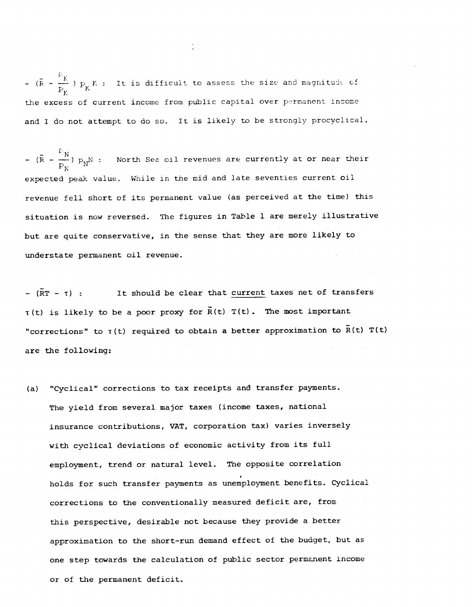$-\frac{p}{(R - \frac{p}{r})}$   $p_{\mathbf{v}}$  K : It is difficult to assess the size and magnitude of the excess of current income from public capital over permanent income and I do not attempt to do so. It is likely to be strongly procyclical.

-  $(\bar{R} - \frac{F_N}{P_N}) p_N$  : North Sea oil revenues are currently at or near their expected peak value. While in the mid and late seventies current oil revenue fell short of its permanent value (as perceived at the time) this situation is now reversed. The figures in Table 1 are merely illustrative but are quite conservative, in the sense that they are more likely to understate permanent oil revenue.

 $-(\overline{RT} - T)$ : It should be clear that current taxes net of transfers  $\tau(t)$  is likely to be a poor proxy for  $\bar{R}(t)$   $T(t)$ . The most important "corrections" to  $T(t)$  required to obtain a better approximation to  $\bar{R}(t)$   $T(t)$ are the following:

(a) "Cyclical" corrections to tax receipts and transfer payments. The yield from several major taxes (income taxes, national insurance contributions, VAT, corporation tax) varies inversely with cyclical deviations of economic activity from its full employment, trend or natural level. The opposite correlation holds for such transfer payments as unemployment benefits. Cyclical corrections to the conventionally measured deficit are, from this perspective, desirable not because they provide a better approximation to the short—run demand effect of the budget, but as one step towards the calculation of public sector permanent income or of the permanent deficit.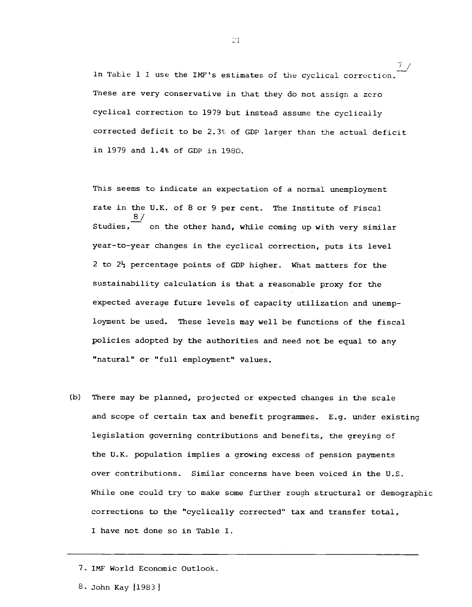In Table 1 I use the IMF's estimates of the cyclical correction. These are very conservative in that they do not assign a zero cyclical correction to 1979 but instead assume the cyclically corrected deficit to be 2.3% of GDP larger than the actual deficit in l79 and 1.4% of GDP in 1980.

This seems to indicate an expectation of a normal unemployment rate in the U.K. of 8 or 9 per cent. The Institute of Fiscal 8/ Studies, on the other hand, while coming up with very similar year—to—year changes in the cyclical correction, puts its level 2 to 2½ percentage points of GDP higher. What matters for the sustainability calculation is that a reasonable proxy for the expected average future levels of capacity utilization and unemployment be used. These levels may well be functions of the fiscal policies adopted by the authorities and need not be equal to any "natural" or "full employment" values.

(b) There may be planned, projected or expected changes in the scale and scope of certain tax and benefit programmes. E.g. under existing legislation governing contributions and benefits, the greying of the U.K. population implies a growing excess of pension payments over contributions. Similar concerns have been voiced in the U.S. While one could try to make some further rough structural or demographic corrections to the "cyclically corrected" tax and transfer total, I have not done so in Table I.

7. 1MF World Economic Outlook.

8. John Kay (1983)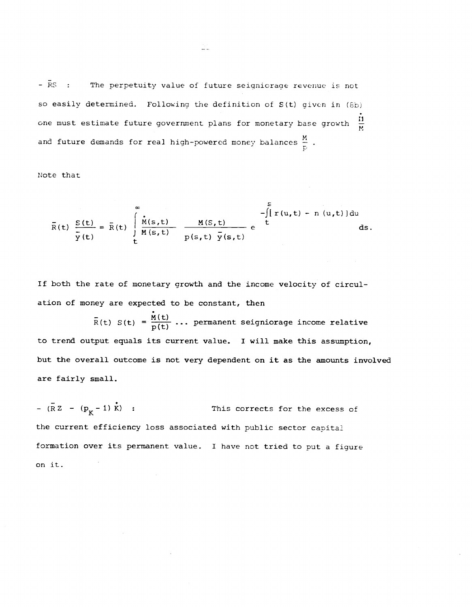- RS : The perpetuity value of future seigniorage revenue is not so easily determined. Following the definition of  $S(t)$  given in  $(8b)$ one must estimate future government plans for monetary base growth  $\frac{11}{M}$ and future demands for real high-powered money balances  $\frac{M}{D}$ .

Note that

$$
\bar{R}(t) \frac{S(t)}{\bar{y}(t)} = \bar{R}(t) \int\limits_{t}^{\infty} \frac{\dot{M}(s,t)}{M(s,t)} \frac{M(S,t)}{p(s,t) \bar{y}(s,t)} e^{-\int\limits_{t}^{S} [r(u,t) - n(u,t)] du} ds.
$$

If both the rate of monetary growth and the income velocity of circulation of money are expected to be constant, then

 $\bar{R}(t)$  S(t) =  $\frac{\dot{M}(t)}{D(t)}$  ... permanent seigniorage income relative to trend output equals its current value. I will make this assumption, but the overall outcome is not very dependent on it as the amounts involved are fairly small.

 $-(RZ - (p_K - 1) \dot{K})$ : This corrects for the excess of the current efficiency loss associated with public sector capital formation over its permanent value. I have not tried to put a figure on it.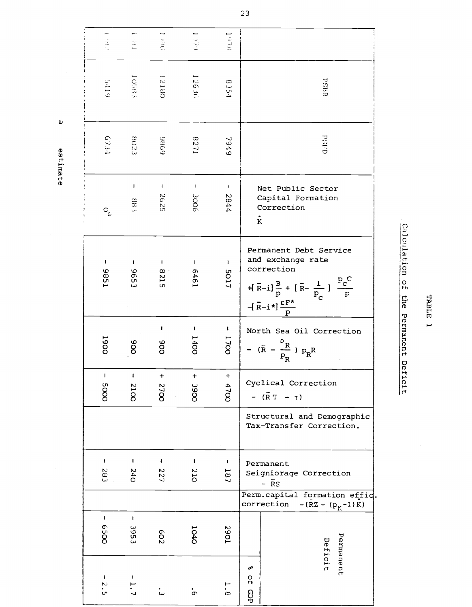# (D U)  $\overline{\mathbf{a}}$

 $\mathbf{p}$ 

 $1018$  $\frac{1}{2}$  $\begin{bmatrix} 1 & 1 \\ 1 & 1 \end{bmatrix}$  $0001$  $1.9\%$ Lobar 12180 12636 RSBR  $6416$ 8354 (PSPD<br>
(PSPD<br>
(PSPD<br>
(PSPD<br>
(PSPD<br>
(PSPD<br>
(PSPD<br>
(PSPD<br>
(PSPD<br>
(PSPD<br>
(PSPD<br>
(PSPD<br>
(PSPD<br>
(PSPD<br>
(PSPD<br>
(PSPD<br>
(PSPD<br>
(PSPD<br>
(PSPD<br>
(PSPD<br>
(PSPD<br>
(PSPD<br>
(PSPD<br>
(PSPD<br>
(PSPD<br>
(PSPD<br>
(PSPD<br>
(PSPD<br>
(PSPD<br>
(PSPD<br>
(PSPD<br>
(PSPD 8271 <sup>1</sup><br>  $\begin{array}{c|c} \n\vdots & \vdots & \vdots \n\end{array}$   $\begin{array}{c} \n\text{Net Public Sector} \\ \n\text{Capital Formation} \\ \n\text{Correction} \n\end{array}$ 2625 Capital Formation  $688$ Correction  $O_{\rm c}$ K Permanent Debt Service and exchange rate  $\pmb{\mathsf{I}}$  $\pmb{\cdot}$  $\mathbf{I}$  $\pmb{\mathsf{I}}$  $\begin{bmatrix} 0 \\ 0 \end{bmatrix}$  correction  $\begin{bmatrix} 0 \\ 0 \end{bmatrix}$ 1986 596  $\begin{array}{c|c|c|c|c|c|c|c} \hline \text{a} & \text{b} & \text{c} & \text{c} \\ \hline \text{c} & \text{c} & \text{d} & \text{d} & \text{d} \\ \hline \end{array}$  +[ $\bar{\text{R}}$ -i]  $\frac{\text{B}}{\text{p}}$  + [ $\bar{\text{R}}$ - $\frac{1}{\text{p}}$ ]  $\frac{\text{p}_\text{c}}{\text{p}}$  $P_{\rm C}$   $P$  $-[R-i*]\frac{\varepsilon F^*}{p}$  $\mathbf{I}$  $\begin{array}{c|c|c|c|c} \n1 & 1 & 1 \n20 & 0 & - & \overline{R} & \overline{R} \n30 & 0 & - & \overline{R} - \overline{R} & \overline{R} \n\end{array}$ **1700** 1900  $8<sup>o</sup>$ 800  $\overline{a}$  and  $\overline{b}$  p  $\overline{a}$ 8 8 | -  $(R - \frac{R}{p_R}) p_R R$ + +  $\mathbf{I}$  $\mathbf I$  $\ddot{}$  $\begin{array}{c|c|c}\n\omega & \Delta & \text{Cyclical Correction} \\
\hline\n8 & 8 & -(\bar{R}T-\tau)\n\end{array}$ 2000 2100 2700 Structural and Demographic Tax—Trans fer Correction.  $\bar{\mathbf{r}}$  $\bar{\mathbf{I}}$  $\pmb{\mathsf{I}}$  $\begin{array}{c|c|c} \n1 & 1 & 1 \n2 & 1 & 2 \n3 & 1 & 2 \n4 & 1 & 2 \n5 & 1 & 3 \n\end{array}$ 285 240 227 Seigniorage Correction<br>-  $\overline{R}S$ <br>Perm.capital formation effic. Perinch  $-({\overline{R}}z - (p_K-1)K)$  $\mathbf{t}$  $\mathbf{t}$ I-' <sup>0</sup>. <sup>0</sup> <sup>0</sup> (V 0059 3953 **602**  $\mathfrak o$   $\mathsf H$ Finanen<br>eficit  $\frac{q}{10}$   $\frac{q}{10}$ dP $\frac{0}{2}$  $\mathbf{I}$  $\frac{2}{3}$  $\frac{1}{2}$  $\overline{1} \cdot \overline{6}$ .<br>س dap  $\dot{\sigma}$ 

0 (V  $\mathbf{H}$  $\omega$  and  $\omega$ 

tIj

a<br>Eicit

 $\Omega$ 

cul.<br>I

i.<br>O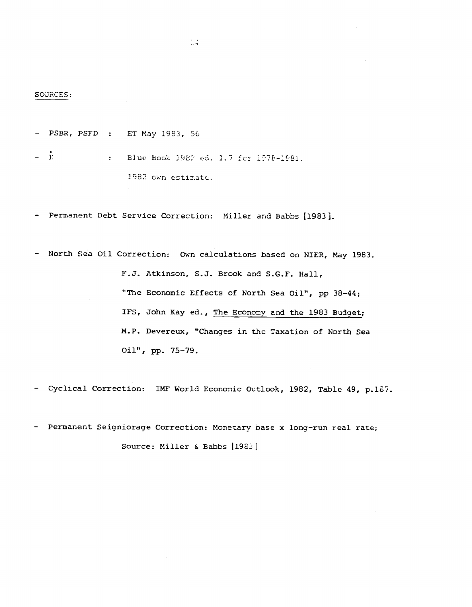SOURCES:

- PSBR, PSFD : ET May 1983, 56

 $\bar{K}$  : Elue Book 1982 ed. 1.7 for 1978-1981. 1982 own estimate.

- Permanent Debt Service Correction: Miller and Babbs [1983].

— North Sea Oil Correction: Own calculations based on NIER, May 1983. F,J. Atkinson, S.J. Brook and S.G.F. Hall, "The Economic Effects of North Sea Oil", pp 38—44; IFS, John Kay ed., The Economy and the 1983 Budget; M.P. Devereux, "Changes in the Taxation of North Sea Oil", pp. 75—79.

- Cyclical Correction: IMF World Economic Outlook, 1982, Table 49, p.1E7.

- Permanent Seigniorage Correction: Monetary base x long-run real rate; Source: Miller & Babbs [1983]

 $\mathbb{Z}[\frac{1}{2}]$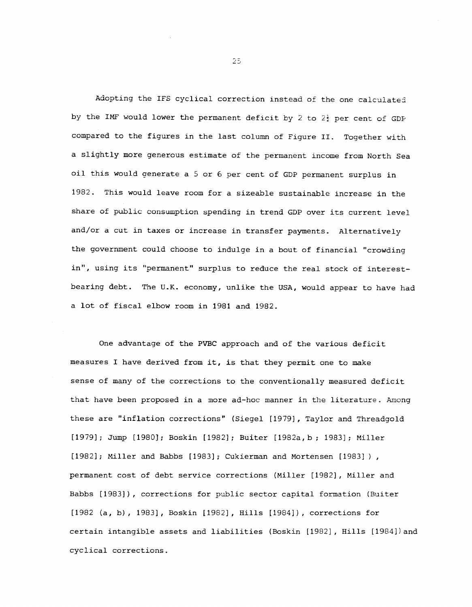Adopting the IFS cyclical correction instead of the one calculated by the IMF would lower the permanent deficit by 2 to  $2\frac{1}{2}$  per cent of GDP compared to the figures in the last column of Figure II. Together with a slightly more generous estimate of the permanent income from North Sea oil this would generate a 5 or 6 per cent of GD? permanent surplus in 1982. This would leave room for a sizeable sustainable increase in the share of public consumption spending in trend GDP over its current level and/or a cut in taxes or increase in transfer payments. Alternatively the government could choose to indulge in a bout of financial "crowding in", using its "permanent" surplus to reduce the real stock of interest bearing debt. The U.K. economy, unlike the USA, would appear to have had a lot of fiscal elbow room in 1981 and 1982.

One advantage of the PVBC approach and of the various deficit measures I have derived from it, is that they permit one to make sense of many of the corrections to the conventionally measured deficit that have been proposed in a more ad-hoc manner in the literature. Among these are "inflation corrections" (Siegel [1979], Taylor and Threadgold [1979]; Jump [1980]; Boskin [1982]; Buiter [1982a, b ; 1983] ; Miller [1982]; Miller and Babbs [1983]; Cukierman and Mortensen [1983]), permanent cost of debt service corrections (Miller [1982] , Miller and Babbs [1983]), corrections for public sector capital formation (Buiter [1982 (a, b) , 1983], Boskin [1982], Hills [1984]), corrections for certain intangible assets and liabilities (Boskin [1982], Hills [1984])and cyclical corrections.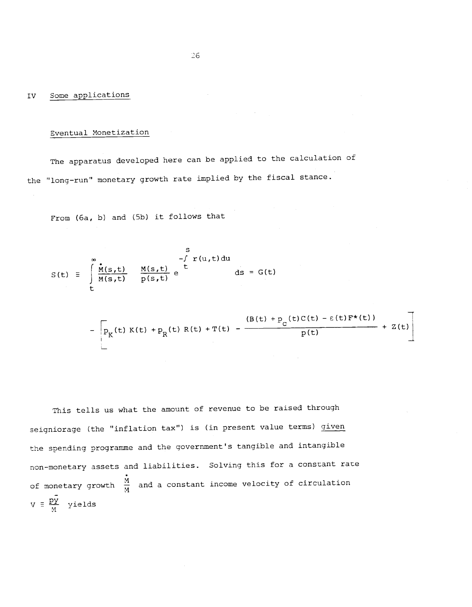### IV Some applications

### Eventual Monetization

The apparatus developed here can be applied to the calculation of the "long-run" monetary growth rate implied by the fiscal stance.

From (6a, b) and (5b) it follows that

$$
S(t) \equiv \int_{t}^{s} \frac{\dot{M}(s,t)}{M(s,t)} \frac{M(s,t)}{p(s,t)} e^{\int_{t}^{s} T(u,t) du} ds = G(t)
$$

$$
-\left[ p_{K}(t) K(t) + p_{R}(t) R(t) + T(t) - \frac{(B(t) + p_{C}(t)C(t) - \varepsilon(t)F^{*}(t))}{p(t)} + Z(t) \right]
$$

This tells us what the amount of revenue to be raised through seigniorage (the "inflation tax") is (in present value terms) given the spending programme and the government's tangible and intangible non-monetary assets and liabilities. Solving this for a constant rate of monetary growth  $\frac{\dot{M}}{M}$  and a constant income velocity of circulation  $V = \frac{py}{M}$  yields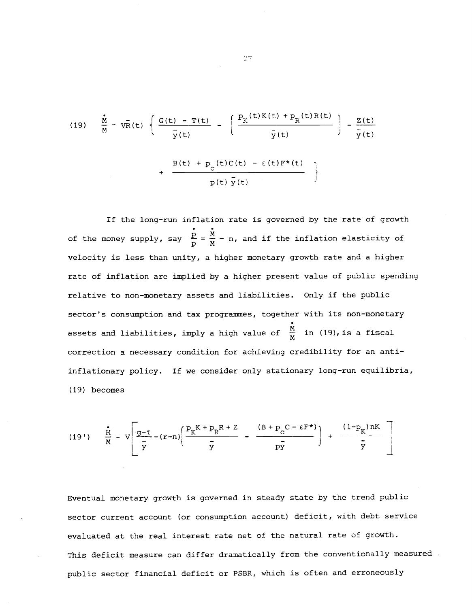(19) 
$$
\frac{\dot{M}}{M} = V\bar{R}(t) \left\{ \frac{G(t) - T(t)}{\bar{y}(t)} - \left( \frac{P_K(t)K(t) + P_R(t)R(t)}{\bar{y}(t)} \right) - \frac{Z(t)}{\bar{y}(t)} \right\} + \frac{B(t) + P_C(t)C(t) - \epsilon(t)F^*(t)}{p(t)\bar{y}(t)} \right\}
$$

If the long-run inflation rate is governed by the rate of growth of the money supply, say  $\frac{p}{p} = \frac{M}{M} - n$ , and if the inflation elasticity of velocity is less than unity, a higher monetary growth rate and a higher rate of inflation are implied by a higher present value of public spending relative to non-monetary assets and liabilities. Only if the public sector's consumption and tax programmes, together with its non—monetary assets and liabilities, imply a high value of  $\frac{M}{M}$  in (19), is a fiscal correction a necessary condition for achieving credibility for an anti inflationary policy. If we consider only stationary long-run equilibria, (19) becomes

(19') 
$$
\frac{\dot{M}}{M} = V \left[ \frac{g-\tau}{\bar{y}} - (r-n) \left( \frac{P_K K + P_R R + Z}{\bar{y}} - \frac{(B + P_C C - \epsilon F^*)}{\bar{y}} \right) + \frac{(1-P_K) nK}{\bar{y}} \right]
$$

Eventual monetary growth is governed in steady state by the trend public sector current account (or consumption account) deficit, with debt service evaluated at the real interest rate net of the natural rate of growth. This deficit measure can differ dramatically from the conventionally measured public sector financial deficit or PSBR, which is often and erroneously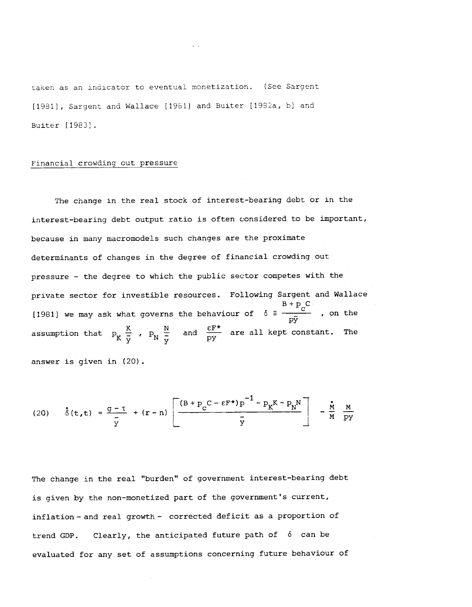taken as an indicator to eventual monetization. (See Sarqent [1981], Sargent and Wallace [1981] and Buiter [1982a, b] and Buiter [1983]

il.

## Financial crowding out pressure

answer is given in (20).

The change in the real stock of interest-bearing debt or in the interest—bearing debt output ratio is often considered to be important, because in many macromodels such changes are the proximate determinants of changes in the degree of financial crowding out pressure — the degree to which the public sector competes with the private sector for investible resources. Following Sargent and Wallace [1981] we may ask what governs the behaviour of  $\delta = \frac{B + p_c C}{p\bar{y}}$ , on the assumption that  $P_K \frac{K}{y}$ ,  $P_N \frac{N}{y}$  and  $\frac{\varepsilon F^*}{py}$  are all kept constant. The

(20) 
$$
\dot{\delta}(t,t) = \frac{g - \tau}{\bar{y}} + (r - n) \left[ \frac{(B + p_c C - \epsilon F^*) p^{-1} - p_K K - p_N N}{\bar{y}} \right] - \frac{\dot{M}}{M} \frac{M}{py}
$$

The change in the real "burden" of government interest-bearing debt is given by the non—monetized part of the government's current, inflation — and real growth — corrected deficit as a proportion of trend GDP. Clearly, the anticipated future path of  $\delta$  can be evaluated for any set of assumptions concerning future behaviour of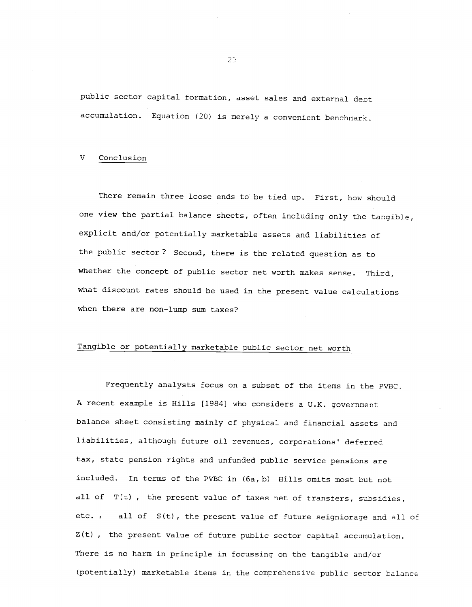public sector capital formation, asset sales and external debt accumulation. Equation (20) is merely a convenient benchmark.

#### V Conclusion

There remain three loose ends to be tied up. First, how should one view the partial balance sheets, often including only the tangible, explicit and/or potentially marketable assets and liabilities of the public sector? Second, there is the related question as to whether the concept of public sector net worth makes sense. Third, what discount rates should be used in the present value calculations when there are non-lump sum taxes?

# Tangible or potentially marketable public sector net worth

Frequently analysts focus on a subset of the items in the PVBC. A recent example is Hills [1984] who considers a U.K. government balance sheet consisting mainly of physical and financial assets and liabilities, although future oil revenues, corporations' deferred tax, state pension rights and unfunded public service pensions are included. In terms of the PVBC in (6a, b) Hills omits most but not all of T(t) , the present value of taxes net of transfers, subsidies, etc. , all of S(t), the present value of future seigniorage and all of  $Z(t)$ , the present value of future public sector capital accumulation. There is no harm in principle in focussing on the tangible and/or (potentially) marketable items in the comprehensive public sector balance

 $25<sub>1</sub>$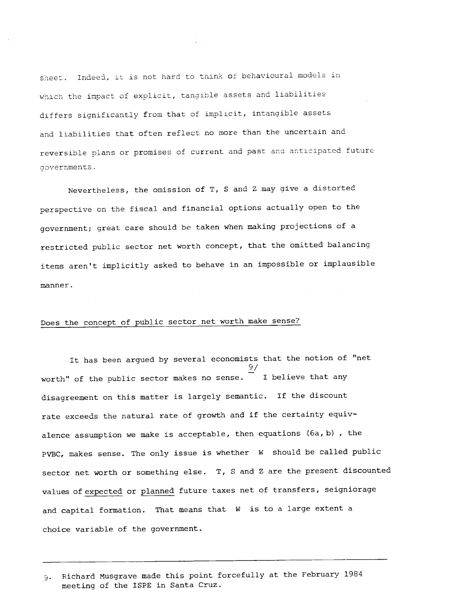sheet. Indeed, it is not hard to think of behavioural models in which the impact of explicit, tangible assets and liabilities differs significantly from that of implicit, intangible assets and liabilities that often reflect no more than the uncertain and reversible plans or promises of current and past and anticipated future dovernments.

Nevertheless, the omission of T, S and Z may give a distorted perspective on the fiscal and financial options actually open to the government; great care should be taken when making projections of a restricted public sector net worth concept, that the omitted balancing items aren't implicitly asked to behave in an impossible or implausible manner.

# Does the concept of public sector net worth make sense?

It has been argued by several economists that the notion of "net 9/ worth" of the public sector makes no sense. I believe that any disagreement on this matter is largely semantic. If the discount rate exceeds the natural rate of growth and if the certainty equivalence assumption we make is acceptable, then equations (6a, b), the PVBC, makes sense. The only issue is whether W should be called public sector net worth or something else. T, S and Z are the present discounted values of expected or planned future taxes net of transfers, seigniorage and capital formation. That means that W is to a large extent a choice variable of the government.

<sup>;.</sup> Richard Musgrave made this point forcefully at the February 1984 meeting of the ISPE in Santa Cruz.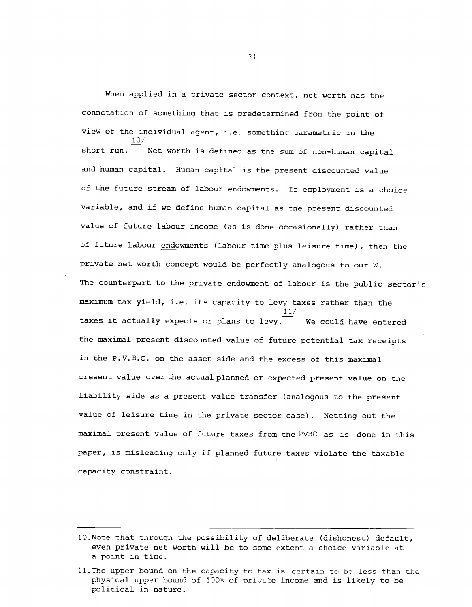When applied in a private sector context, net worth has the connotation of something that is predetermined from the point of view of the individual agent, i.e. something parametric in the  $10/$ short run.  $\overline{\phantom{a}}$  Net worth is defined as the sum of non-human capital and human capital. Human capital is the present discounted value of the future stream of labour endowments. If employment is a choice variable, and if we define human capital as the present discounted value of future labour income (as is done occasionally) rather than of future labour endowments (labour time plus leisure time) , then the private net worth concept would be perfectly analogous to our W. The counterpart to the private endowment of labour is the public sector's maximum tax yield, i.e. its capacity to levy taxes rather than the taxes it actually expects or plans to levy. We could have entered the maximal present discounted value of future potential tax receipts in the P.V.B.C. on the asset side and the excess of this maximal present value over the actual planned or expected present value on the liability side as a present value transfer (analogous to the present value of leisure time in the private sector case). Netting out the maximal present value of future taxes from the PVBC as is done in this paper, is misleading only if planned future taxes violate the taxable capacity constraint.

<sup>10.</sup>Note that through the possibility of deliberate (dishonest) default, even private net worth will be to some extent a choice variable at a point in time.

<sup>11.</sup>The upper bound on the capacity to tax is certain to be less than the physical upper bound of 100% of private income and is likely to be political in nature.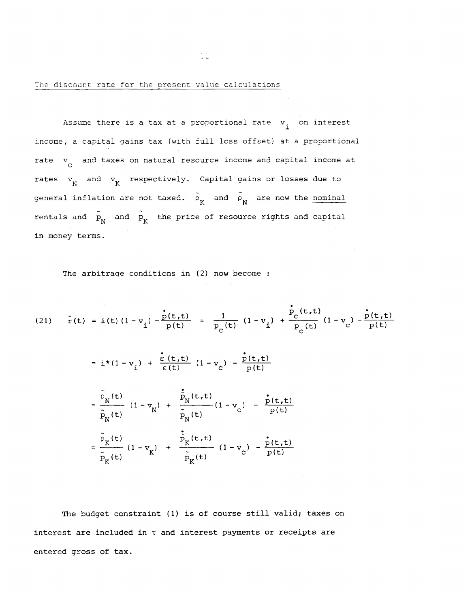The discount rate for the present value calculations

Assume there is a tax at a proportional rate  $v_i$  on interest income, a capital gains tax (with full loss offset) at a proportional rate  $v_c$  and taxes on natural resource income and capital income at rates  $v_N$  and  $v_K$  respectively. Capital gains or losses due to general inflation are not taxed.  $\tilde{\rho}_K$  and  $\tilde{\rho}_N$  are now the nominal rentals and  $\tilde{P}_N$  and  $\tilde{P}_K$  the price of resource rights and capital in money terms.

The arbitrage conditions in (2) now become :

(21) 
$$
\hat{r}(t) = i(t) (1 - v_i) - \frac{\hat{p}(t, t)}{p(t)} = \frac{1}{P_c(t)} (1 - v_i) + \frac{\hat{p}_c(t, t)}{P_c(t)} (1 - v_c) - \frac{\hat{p}(t, t)}{p(t)}
$$
  
\n
$$
= i*(1 - v_i) + \frac{\hat{e}(t, t)}{\hat{e}(t)} (1 - v_c) - \frac{\hat{p}(t, t)}{p(t)}
$$
\n
$$
= \frac{\tilde{\rho}_N(t)}{\tilde{p}_N(t)} (1 - v_N) + \frac{\hat{p}_N(t, t)}{\tilde{p}_N(t)} (1 - v_c) - \frac{\hat{p}(t, t)}{p(t)}
$$
\n
$$
= \frac{\tilde{\rho}_K(t)}{\tilde{p}_K(t)} (1 - v_K) + \frac{\hat{p}_K(t, t)}{\tilde{p}_K(t)} (1 - v_c) - \frac{\hat{p}(t, t)}{p(t)}
$$

The budget constraint (1) is of course still valid; taxes on interest are included in T and interest payments or receipts are entered gross of tax.

ð.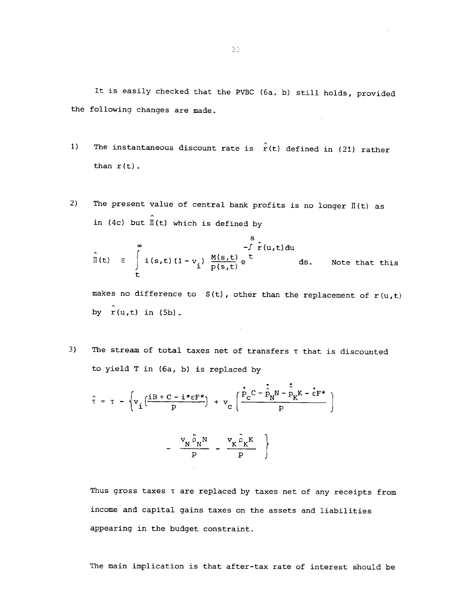It is easily checked that the PVBC (6a, b) still holds, provided the following changes are made.

- 1) The instantaneous discount rate is  $\hat{r}(t)$  defined in (21) rather than  $r(t)$ .
- 2) The present value of central bank profits is no longer  $\mathbb{I}(\mathsf{t})$  as in (4c) but  $\hat{\mathbb{I}}(t)$  which is defined by

$$
\hat{\Pi}(t) \equiv \int_{t}^{\infty} i(s,t) (1-v_{i}) \frac{M(s,t)}{p(s,t)} e^{t} ds.
$$
 Note that this

makes no difference to  $S(t)$ , other than the replacement of  $r(u,t)$ by  $r(u,t)$  in  $(5b)$ .

3) The stream of total taxes net of transfers  $\tau$  that is discounted to yield T in (6a, b) is replaced by

$$
\hat{\tau} = \tau - \left\{ v_{i} \left( \frac{iB + C - i * \epsilon F^{*}}{p} \right) + v_{c} \left( \frac{\dot{P}_{c} C - \dot{\tilde{P}}_{N} N - \dot{P}_{K} K - \dot{\epsilon} F^{*}}{p} \right) \right\}
$$

$$
- \frac{v_N \tilde{\rho}_N N}{p} - \frac{v_K \tilde{\rho}_K K}{p} \}
$$

Thus gross taxes t are replaced by taxes net of any receipts from income and capital gains taxes on the assets and liabilities appearing in the budget constraint.

The main implication is that after-tax rate of interest should be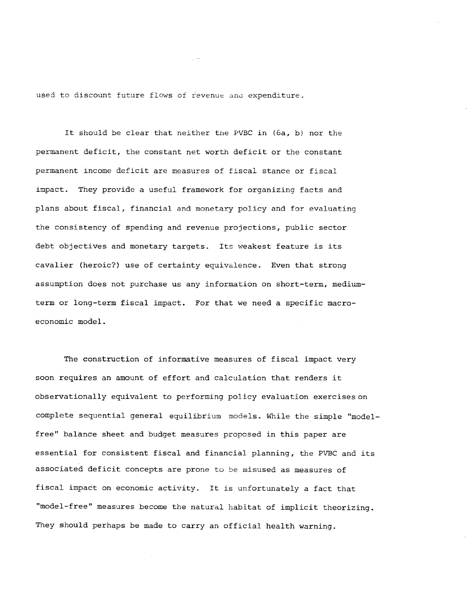used to discount future flows of ievenue anu expenditure.

It should be clear that neither tne PVBC in (6a, b) nor the permanent deficit, the constant net worth deficit or the constant permanent income deficit are measures of fiscal stance or fiscal impact. They provide a useful framework for organizing facts and plans about fiscal, financial and monetary policy and for evaluating the consistency of spending and revenue projections, public sector debt objectives and monetary targets. Its weakest feature is its cavalier (heroic?) use of certainty equivalence. Even that strong assumption does not purchase us any information on short—term, medium term or long—term fiscal impact. For that we need a specific macroeconomic model.

The construction of informative measures of fiscal impact very soon requires an amount of effort and calculation that renders it observationally equivalent to performing policy evaluation exercises on complete sequential general equilibrium models. While the simple "modelfree" balance sheet and budget measures proposed in this paper are essential for consistent fiscal and financial planning, the PVBC and its associated deficit concepts are prone to be misused as measures of fiscal impact on economic activity. It is unfortunately a fact that "model—free" measures become the natural habitat of implicit theorizing. They should perhaps be made to carry an official health warning.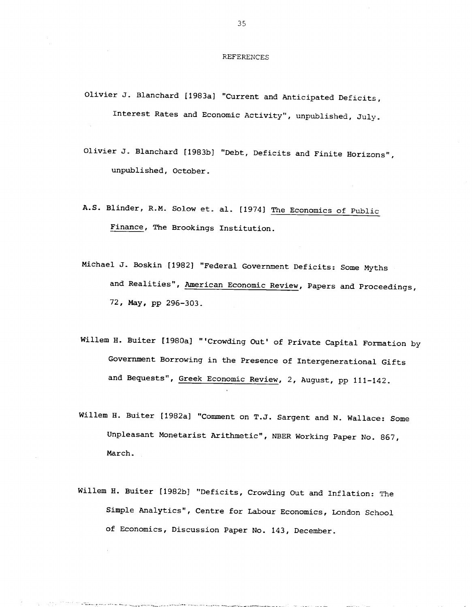REFERENCES

- Olivier J. Blanchard {1983a] "Current and Anticipated Deficits, Interest Rates and Economic Activity", unpublished, July.
- Olivjer J. Blanchard [1983b} "Debt, Deficits and Finite Horizons", unpublished, October.
- A.S. Blinder. R.M. Solow et. al. [1974] The Economics of Public Finance, The Brookings Institution.
- Michael J. Boskin [1982] "Federal Government Deficits: Some Myths and Realities", American Economic Review, Papers and Proceedings, 72, May, pp 296—303.
- Willem H. Buiter [1980a] "'Crowding Out' of Private Capital Formation by Government Borrowing in the Presence of Intergenerational Gifts and Bequests", Greek Economic Review, 2, August, pp 111-142.
- Willem H. Buiter [1982a] "Comment on T.J. Sargent and N. Wallace: Some Unpleasant Monetarist Arithmetic", NBER Working Paper No. 867, March.
- Willem H. Buiter [1982b} "Deficits, Crowding Out and Inflation: The Simple Analytics", Centre for Labour Economics, London School of Economics, Discussion Paper No. 143, December.

Allamanculated ala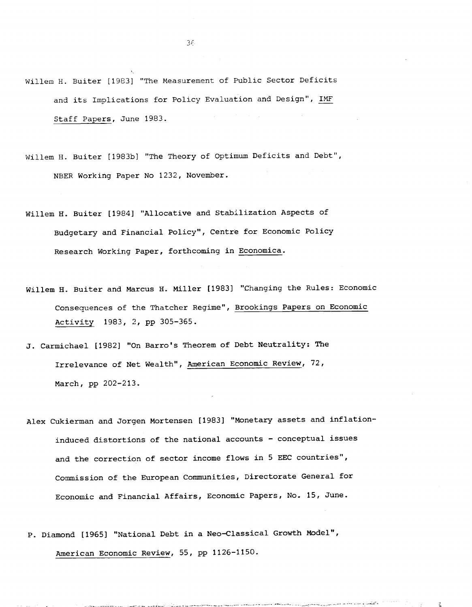Willem H. Buiter [1983] "The Measurement of Public Sector Deficits and its Implications for Policy Evaluation and Design", IMF Staff Papers, June 1983.

Willem H. Buiter [1983b} "The Theory of Optimum Deficits and Debt", NBER Working Paper No 1232, November.

Willem H. Buiter [19841 "Allocative and Stabilization Aspects of Budgetary and Financial Policy", Centre for Economic Policy Research Working Paper, forthcoming in Economica.

Willem H. Buiter and Marcus H. Miller [1983] "Changing the Rules: Economic Consequences of the Thatcher Regime", Brookings Papers on Economic Activity 1983, 2, pp 305—365.

J. Carmichael [1982] "On Barro's Theorem of Debt Neutrality: The Irrelevance of Net Wealth", American Economic Review, 72, March, pp 202—213.

- Alex Cukierman and Jorgen Mortensen [1983] "Monetary assets and inflation induced distortions of the national accounts — conceptual issues and the correction of sector income flows in 5 EEC countries", Commission of the European Communities, Directorate General for Economic and Financial Affairs, Economic Papers, No.. 15, June.
- P. Diamond [1965] "National Debt in a Neo-Classical Growth Model", American Economic Review, 55, pp 1126-1150.

in British

3E